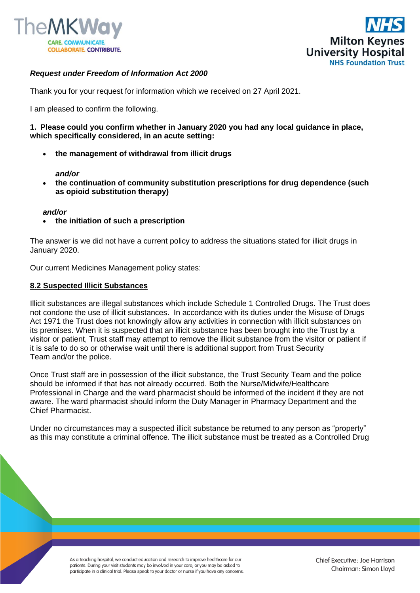



## *Request under Freedom of Information Act 2000*

Thank you for your request for information which we received on 27 April 2021.

I am pleased to confirm the following.

## **1. Please could you confirm whether in January 2020 you had any local guidance in place, which specifically considered, in an acute setting:**

• **the management of withdrawal from illicit drugs**

*and/or*

• **the continuation of community substitution prescriptions for drug dependence (such as opioid substitution therapy)**

*and/or*

• **the initiation of such a prescription**

The answer is we did not have a current policy to address the situations stated for illicit drugs in January 2020.

Our current Medicines Management policy states:

## **8.2 Suspected Illicit Substances**

Illicit substances are illegal substances which include Schedule 1 Controlled Drugs. The Trust does not condone the use of illicit substances. In accordance with its duties under the Misuse of Drugs Act 1971 the Trust does not knowingly allow any activities in connection with illicit substances on its premises. When it is suspected that an illicit substance has been brought into the Trust by a visitor or patient, Trust staff may attempt to remove the illicit substance from the visitor or patient if it is safe to do so or otherwise wait until there is additional support from Trust Security Team and/or the police.

Once Trust staff are in possession of the illicit substance, the Trust Security Team and the police should be informed if that has not already occurred. Both the Nurse/Midwife/Healthcare Professional in Charge and the ward pharmacist should be informed of the incident if they are not aware. The ward pharmacist should inform the Duty Manager in Pharmacy Department and the Chief Pharmacist.

Under no circumstances may a suspected illicit substance be returned to any person as "property" as this may constitute a criminal offence. The illicit substance must be treated as a Controlled Drug

> As a teaching hospital, we conduct education and research to improve healthcare for our patients. During your visit students may be involved in your care, or you may be asked to participate in a clinical trial. Please speak to your doctor or nurse if you have any concerns.

Chief Executive: Joe Harrison Chairman: Simon Lloyd